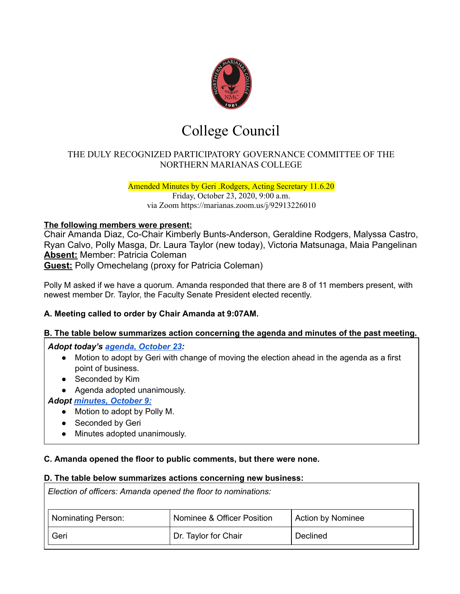

# College Council

# THE DULY RECOGNIZED PARTICIPATORY GOVERNANCE COMMITTEE OF THE NORTHERN MARIANAS COLLEGE

Amended Minutes by Geri .Rodgers, Acting Secretary 11.6.20 Friday, October 23, 2020, 9:00 a.m. via Zoom https://marianas.zoom.us/j/92913226010

#### **The following members were present:**

Chair Amanda Diaz, Co-Chair Kimberly Bunts-Anderson, Geraldine Rodgers, Malyssa Castro, Ryan Calvo, Polly Masga, Dr. Laura Taylor (new today), Victoria Matsunaga, Maia Pangelinan **Absent:** Member: Patricia Coleman **Guest:** Polly Omechelang (proxy for Patricia Coleman)

Polly M asked if we have a quorum. Amanda responded that there are 8 of 11 members present, with

# newest member Dr. Taylor, the Faculty Senate President elected recently.

# **A. Meeting called to order by Chair Amanda at 9:07AM.**

#### **B. The table below summarizes action concerning the agenda and minutes of the past meeting.**

*Adopt today's agenda, [October](https://docs.google.com/document/d/1OotLtvj0144ulouV3hhsARYVHwp4TTqkEfsuVx-G02Q/edit?usp=sharing) 23:*

- Motion to adopt by Geri with change of moving the election ahead in the agenda as a first point of business.
- Seconded by Kim
- Agenda adopted unanimously.

#### *Adopt [minutes,](https://drive.google.com/file/d/1Tw3IOUb5dNrXu-F6klG_GGKti2YOaWYc/view?usp=sharing) October 9:*

- Motion to adopt by Polly M.
- Seconded by Geri
- Minutes adopted unanimously.

#### **C. Amanda opened the floor to public comments, but there were none.**

#### **D. The table below summarizes actions concerning new business:**

*Election of officers: Amanda opened the floor to nominations:*

| Nominating Person: | Nominee & Officer Position | <b>Action by Nominee</b> |
|--------------------|----------------------------|--------------------------|
| Geri               | Dr. Taylor for Chair       | Declined                 |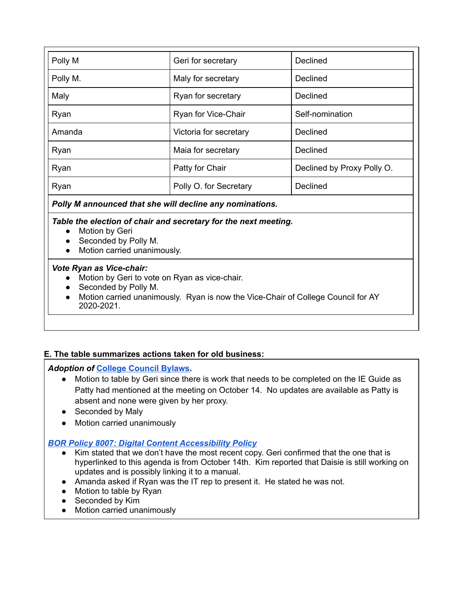| Polly M  | Geri for secretary     | Declined                   |
|----------|------------------------|----------------------------|
| Polly M. | Maly for secretary     | Declined                   |
| Maly     | Ryan for secretary     | Declined                   |
| Ryan     | Ryan for Vice-Chair    | Self-nomination            |
| Amanda   | Victoria for secretary | Declined                   |
| Ryan     | Maia for secretary     | Declined                   |
| Ryan     | Patty for Chair        | Declined by Proxy Polly O. |
| Ryan     | Polly O. for Secretary | Declined                   |

#### *Polly M announced that she will decline any nominations.*

#### *Table the election of chair and secretary for the next meeting.*

- Motion by Geri
- Seconded by Polly M.
- Motion carried unanimously.

#### *Vote Ryan as Vice-chair:*

- Motion by Geri to vote on Ryan as vice-chair.
- Seconded by Polly M.
- Motion carried unanimously. Ryan is now the Vice-Chair of College Council for AY 2020-2021.

# **E. The table summarizes actions taken for old business:**

#### *Adoption of* **College [Council](https://docs.google.com/document/d/1bKGR0ocIxrNgaJWHYtoQc7MZlIDWL20OOysow3u1ctU/edit#) Bylaws.**

- Motion to table by Geri since there is work that needs to be completed on the IE Guide as Patty had mentioned at the meeting on October 14. No updates are available as Patty is absent and none were given by her proxy.
- Seconded by Maly
- Motion carried unanimously

# *BOR Policy 8007: Digital Content [Accessibility](https://drive.google.com/file/d/1LxUmEXcqxd6LaMbZP2GrcyUk3L2e3wNp/view?usp=sharing) Policy*

- **●** Kim stated that we don't have the most recent copy. Geri confirmed that the one that is hyperlinked to this agenda is from October 14th. Kim reported that Daisie is still working on updates and is possibly linking it to a manual.
- Amanda asked if Ryan was the IT rep to present it. He stated he was not.
- **●** Motion to table by Ryan
- **●** Seconded by Kim
- **●** Motion carried unanimously